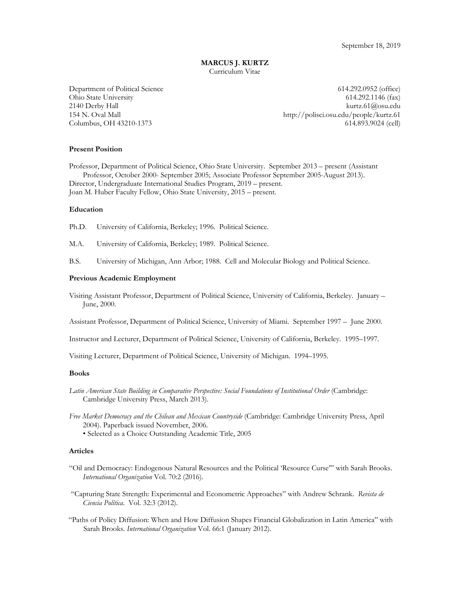#### **MARCUS J. KURTZ** Curriculum Vitae

Department of Political Science 614.292.0952 (office) Ohio State University 614.292.1146 (fax) 2140 Derby Hall kurtz.61@osu.edu 154 N. Oval Mall http://polisci.osu.edu/people/kurtz.61 Columbus, OH 43210-1373 614.893.9024 (cell)

### **Present Position**

Professor, Department of Political Science, Ohio State University. September 2013 – present (Assistant Professor, October 2000- September 2005; Associate Professor September 2005-August 2013). Director, Undergraduate International Studies Program, 2019 – present.

Joan M. Huber Faculty Fellow, Ohio State University, 2015 – present.

### **Education**

Ph.D. University of California, Berkeley; 1996. Political Science.

- M.A. University of California, Berkeley; 1989. Political Science.
- B.S. University of Michigan, Ann Arbor; 1988. Cell and Molecular Biology and Political Science.

#### **Previous Academic Employment**

Visiting Assistant Professor, Department of Political Science, University of California, Berkeley. January – June, 2000.

Assistant Professor, Department of Political Science, University of Miami. September 1997 – June 2000.

Instructor and Lecturer, Department of Political Science, University of California, Berkeley. 1995–1997.

Visiting Lecturer, Department of Political Science, University of Michigan. 1994–1995.

#### **Books**

- *Latin American State Building in Comparative Perspective: Social Foundations of Institutional Order* (Cambridge: Cambridge University Press, March 2013).
- *Free Market Democracy and the Chilean and Mexican Countryside* (Cambridge: Cambridge University Press, April 2004). Paperback issued November, 2006.
	- Selected as a Choice Outstanding Academic Title, 2005

# **Articles**

- "Oil and Democracy: Endogenous Natural Resources and the Political 'Resource Curse'" with Sarah Brooks. *International Organization* Vol. 70:2 (2016).
- "Capturing State Strength: Experimental and Econometric Approaches" with Andrew Schrank. *Revista de Ciencia Política*. Vol. 32:3 (2012).
- "Paths of Policy Diffusion: When and How Diffusion Shapes Financial Globalization in Latin America" with Sarah Brooks. *International Organization* Vol. 66:1 (January 2012).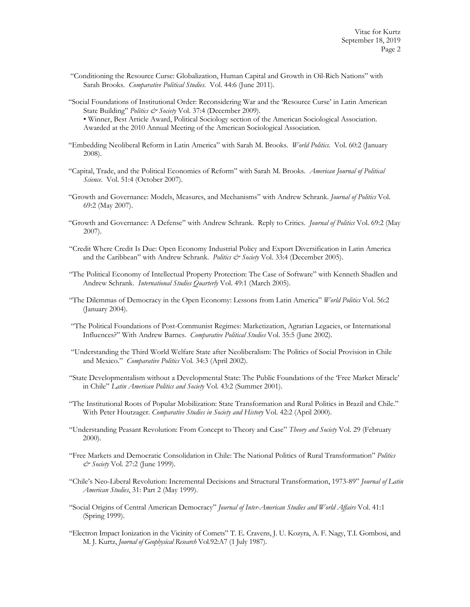- "Conditioning the Resource Curse: Globalization, Human Capital and Growth in Oil-Rich Nations" with Sarah Brooks. *Comparative Political Studies*. Vol. 44:6 (June 2011).
- "Social Foundations of Institutional Order: Reconsidering War and the 'Resource Curse' in Latin American State Building" *Politics & Society* Vol. 37:4 (December 2009).

• Winner, Best Article Award, Political Sociology section of the American Sociological Association. Awarded at the 2010 Annual Meeting of the American Sociological Association.

- "Embedding Neoliberal Reform in Latin America" with Sarah M. Brooks. *World Politics*. Vol. 60:2 (January 2008).
- "Capital, Trade, and the Political Economies of Reform" with Sarah M. Brooks. *American Journal of Political Science*. Vol. 51:4 (October 2007).
- "Growth and Governance: Models, Measures, and Mechanisms" with Andrew Schrank. *Journal of Politics* Vol. 69:2 (May 2007).
- "Growth and Governance: A Defense" with Andrew Schrank. Reply to Critics. *Journal of Politics* Vol. 69:2 (May 2007).
- "Credit Where Credit Is Due: Open Economy Industrial Policy and Export Diversification in Latin America and the Caribbean" with Andrew Schrank. *Politics & Society* Vol. 33:4 (December 2005).
- "The Political Economy of Intellectual Property Protection: The Case of Software" with Kenneth Shadlen and Andrew Schrank. *International Studies Quarterly* Vol. 49:1 (March 2005).
- "The Dilemmas of Democracy in the Open Economy: Lessons from Latin America" *World Politics* Vol. 56:2 (January 2004).
- "The Political Foundations of Post-Communist Regimes: Marketization, Agrarian Legacies, or International Influences?" With Andrew Barnes. *Comparative Political Studies* Vol. 35:5 (June 2002).
- "Understanding the Third World Welfare State after Neoliberalism: The Politics of Social Provision in Chile and Mexico." *Comparative Politics* Vol. 34:3 (April 2002).
- "State Developmentalism without a Developmental State: The Public Foundations of the 'Free Market Miracle' in Chile" *Latin American Politics and Society* Vol. 43:2 (Summer 2001).
- "The Institutional Roots of Popular Mobilization: State Transformation and Rural Politics in Brazil and Chile." With Peter Houtzager. *Comparative Studies in Society and History* Vol. 42:2 (April 2000).
- "Understanding Peasant Revolution: From Concept to Theory and Case" *Theory and Society* Vol. 29 (February 2000).
- "Free Markets and Democratic Consolidation in Chile: The National Politics of Rural Transformation" *Politics & Society* Vol. 27:2 (June 1999).
- "Chile's Neo-Liberal Revolution: Incremental Decisions and Structural Transformation, 1973-89" *Journal of Latin American Studies*, 31: Part 2 (May 1999).
- "Social Origins of Central American Democracy" *Journal of Inter-American Studies and World Affairs* Vol. 41:1 (Spring 1999).
- "Electron Impact Ionization in the Vicinity of Comets" T. E. Cravens, J. U. Kozyra, A. F. Nagy, T.I. Gombosi, and M. J. Kurtz, *Journal of Geophysical Research* Vol.92:A7 (1 July 1987).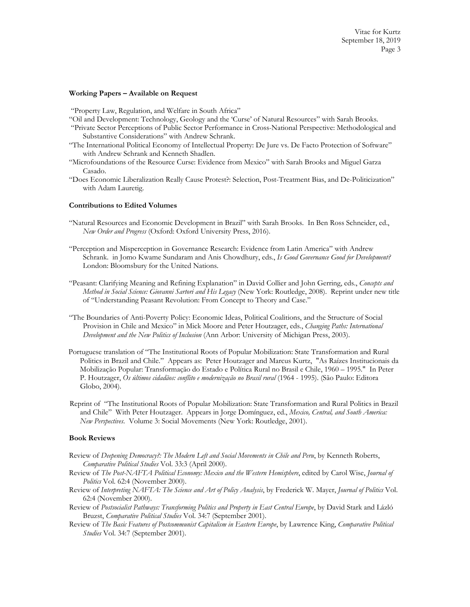## **Working Papers – Available on Request**

"Property Law, Regulation, and Welfare in South Africa"

- "Oil and Development: Technology, Geology and the 'Curse' of Natural Resources" with Sarah Brooks.
- "Private Sector Perceptions of Public Sector Performance in Cross-National Perspective: Methodological and Substantive Considerations" with Andrew Schrank.
- "The International Political Economy of Intellectual Property: De Jure vs. De Facto Protection of Software" with Andrew Schrank and Kenneth Shadlen.
- "Microfoundations of the Resource Curse: Evidence from Mexico" with Sarah Brooks and Miguel Garza Casado.
- "Does Economic Liberalization Really Cause Protest?: Selection, Post-Treatment Bias, and De-Politicization" with Adam Lauretig.

### **Contributions to Edited Volumes**

- "Natural Resources and Economic Development in Brazil" with Sarah Brooks. In Ben Ross Schneider, ed., *New Order and Progress* (Oxford: Oxford University Press, 2016).
- "Perception and Misperception in Governance Research: Evidence from Latin America" with Andrew Schrank. in Jomo Kwame Sundaram and Anis Chowdhury, eds., *Is Good Governance Good for Development?* London: Bloomsbury for the United Nations.
- "Peasant: Clarifying Meaning and Refining Explanation" in David Collier and John Gerring, eds., *Concepts and Method in Social Science: Giovanni Sartori and His Legacy* (New York: Routledge, 2008). Reprint under new title of "Understanding Peasant Revolution: From Concept to Theory and Case."
- "The Boundaries of Anti-Poverty Policy: Economic Ideas, Political Coalitions, and the Structure of Social Provision in Chile and Mexico" in Mick Moore and Peter Houtzager, eds., *Changing Paths: International Development and the New Politics of Inclusion* (Ann Arbor: University of Michigan Press, 2003).
- Portuguese translation of "The Institutional Roots of Popular Mobilization: State Transformation and Rural Politics in Brazil and Chile." Appears as: Peter Houtzager and Marcus Kurtz, "As Raízes Institucionais da Mobilização Popular: Transformação do Estado e Política Rural no Brasil e Chile, 1960 – 1995." In Peter P. Houtzager, Os últimos cidadãos: conflito e modernização no Brasil rural (1964 - 1995). (São Paulo: Editora Globo, 2004).
- Reprint of "The Institutional Roots of Popular Mobilization: State Transformation and Rural Politics in Brazil and Chile" With Peter Houtzager. Appears in Jorge Domínguez, ed., *Mexico, Central, and South America: New Perspectives*. Volume 3: Social Movements (New York: Routledge, 2001).

#### **Book Reviews**

- Review of *Deepening Democracy?: The Modern Left and Social Movements in Chile and Peru*, by Kenneth Roberts, *Comparative Political Studies* Vol. 33:3 (April 2000).
- Review of *The Post-NAFTA Political Economy: Mexico and the Western Hemisphere*, edited by Carol Wise, *Journal of Politics* Vol. 62:4 (November 2000).
- Review of *Interpreting NAFTA: The Science and Art of Policy Analysis*, by Frederick W. Mayer, *Journal of Politics* Vol. 62:4 (November 2000).
- Review of *Postsocialist Pathways: Transforming Politics and Property in East Central Europe*, by David Stark and Lázló Bruzst, *Comparative Political Studies* Vol. 34:7 (September 2001).
- Review of *The Basic Features of Postcommunist Capitalism in Eastern Europe*, by Lawrence King, *Comparative Political Studies* Vol. 34:7 (September 2001).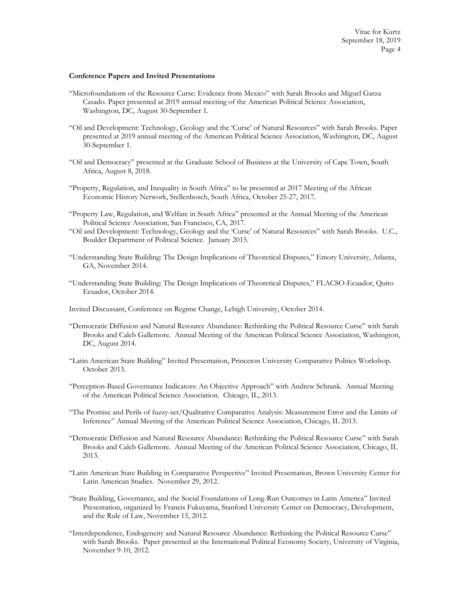### **Conference Papers and Invited Presentations**

- "Microfoundations of the Resource Curse: Evidence from Mexico" with Sarah Brooks and Miguel Garza Casado. Paper presented at 2019 annual meeting of the American Political Science Association, Washington, DC, August 30-September 1.
- "Oil and Development: Technology, Geology and the 'Curse' of Natural Resources" with Sarah Brooks. Paper presented at 2019 annual meeting of the American Political Science Association, Washington, DC, August 30-September 1.
- "Oil and Democracy" presented at the Graduate School of Business at the University of Cape Town, South Africa, August 8, 2018.
- "Property, Regulation, and Inequality in South Africa" to be presented at 2017 Meeting of the African Economic History Network, Stellenbosch, South Africa, October 25-27, 2017.
- "Property Law, Regulation, and Welfare in South Africa" presented at the Annual Meeting of the American Political Science Association, San Francisco, CA, 2017.
- "Oil and Development: Technology, Geology and the 'Curse' of Natural Resources" with Sarah Brooks. U.C., Boulder Department of Political Science. January 2015.
- "Understanding State Building: The Design Implications of Theoretical Disputes," Emory University, Atlanta, GA, November 2014.
- "Understanding State Building: The Design Implications of Theoretical Disputes," FLACSO-Ecuador, Quito Ecuador, October 2014.
- Invited Discussant, Conference on Regime Change, Lehigh University, October 2014.
- "Democratic Diffusion and Natural Resource Abundance: Rethinking the Political Resource Curse" with Sarah Brooks and Caleb Gallemore. Annual Meeting of the American Political Science Association, Washington, DC, August 2014.
- "Latin American State Building" Invited Presentation, Princeton University Comparative Politics Workshop. October 2013.
- "Perception-Based Governance Indicators: An Objective Approach" with Andrew Schrank. Annual Meeting of the American Political Science Association. Chicago, IL, 2013.
- "The Promise and Perils of fuzzy-set/Qualitative Comparative Analysis: Measurement Error and the Limits of Inference" Annual Meeting of the American Political Science Association, Chicago, IL 2013.
- "Democratic Diffusion and Natural Resource Abundance: Rethinking the Political Resource Curse" with Sarah Brooks and Caleb Gallemore. Annual Meeting of the American Political Science Association, Chicago, IL 2013.
- "Latin American State Building in Comparative Perspective" Invited Presentation, Brown University Center for Latin American Studies. November 29, 2012.
- "State Building, Governance, and the Social Foundations of Long-Run Outcomes in Latin America" Invited Presentation, organized by Francis Fukuyama, Stanford University Center on Democracy, Development, and the Rule of Law, November 15, 2012.
- "Interdependence, Endogeneity and Natural Resource Abundance: Rethinking the Political Resource Curse" with Sarah Brooks. Paper presented at the International Political Economy Society, University of Virginia, November 9-10, 2012.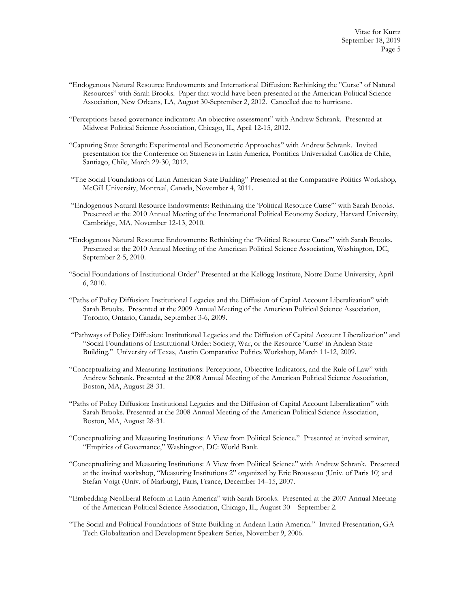- "Endogenous Natural Resource Endowments and International Diffusion: Rethinking the "Curse" of Natural Resources" with Sarah Brooks. Paper that would have been presented at the American Political Science Association, New Orleans, LA, August 30-September 2, 2012. Cancelled due to hurricane.
- "Perceptions-based governance indicators: An objective assessment" with Andrew Schrank. Presented at Midwest Political Science Association, Chicago, IL, April 12-15, 2012.
- "Capturing State Strength: Experimental and Econometric Approaches" with Andrew Schrank. Invited presentation for the Conference on Stateness in Latin America, Pontifica Universidad Católica de Chile, Santiago, Chile, March 29-30, 2012.
- "The Social Foundations of Latin American State Building" Presented at the Comparative Politics Workshop, McGill University, Montreal, Canada, November 4, 2011.
- "Endogenous Natural Resource Endowments: Rethinking the 'Political Resource Curse'" with Sarah Brooks. Presented at the 2010 Annual Meeting of the International Political Economy Society, Harvard University, Cambridge, MA, November 12-13, 2010.
- "Endogenous Natural Resource Endowments: Rethinking the 'Political Resource Curse'" with Sarah Brooks. Presented at the 2010 Annual Meeting of the American Political Science Association, Washington, DC, September 2-5, 2010.
- "Social Foundations of Institutional Order" Presented at the Kellogg Institute, Notre Dame University, April 6, 2010.
- "Paths of Policy Diffusion: Institutional Legacies and the Diffusion of Capital Account Liberalization" with Sarah Brooks. Presented at the 2009 Annual Meeting of the American Political Science Association, Toronto, Ontario, Canada, September 3-6, 2009.
- "Pathways of Policy Diffusion: Institutional Legacies and the Diffusion of Capital Account Liberalization" and "Social Foundations of Institutional Order: Society, War, or the Resource 'Curse' in Andean State Building." University of Texas, Austin Comparative Politics Workshop, March 11-12, 2009.
- "Conceptualizing and Measuring Institutions: Perceptions, Objective Indicators, and the Rule of Law" with Andrew Schrank. Presented at the 2008 Annual Meeting of the American Political Science Association, Boston, MA, August 28-31.
- "Paths of Policy Diffusion: Institutional Legacies and the Diffusion of Capital Account Liberalization" with Sarah Brooks. Presented at the 2008 Annual Meeting of the American Political Science Association, Boston, MA, August 28-31.
- "Conceptualizing and Measuring Institutions: A View from Political Science." Presented at invited seminar, "Empirics of Governance," Washington, DC: World Bank.
- "Conceptualizing and Measuring Institutions: A View from Political Science" with Andrew Schrank. Presented at the invited workshop, "Measuring Institutions 2" organized by Eric Brousseau (Univ. of Paris 10) and Stefan Voigt (Univ. of Marburg), Paris, France, December 14–15, 2007.
- "Embedding Neoliberal Reform in Latin America" with Sarah Brooks. Presented at the 2007 Annual Meeting of the American Political Science Association, Chicago, IL, August 30 – September 2.
- "The Social and Political Foundations of State Building in Andean Latin America." Invited Presentation, GA Tech Globalization and Development Speakers Series, November 9, 2006.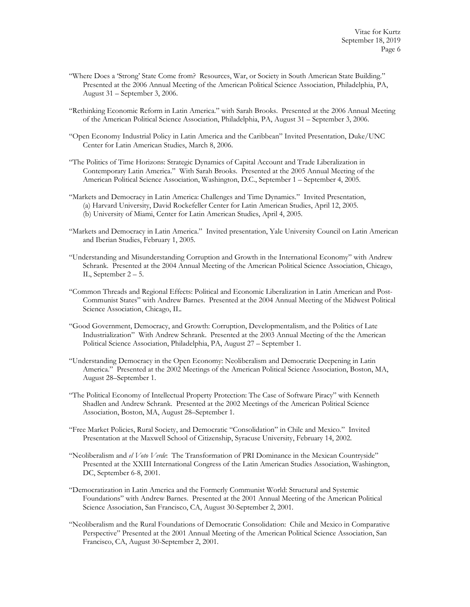- "Where Does a 'Strong' State Come from? Resources, War, or Society in South American State Building." Presented at the 2006 Annual Meeting of the American Political Science Association, Philadelphia, PA, August 31 – September 3, 2006.
- "Rethinking Economic Reform in Latin America." with Sarah Brooks. Presented at the 2006 Annual Meeting of the American Political Science Association, Philadelphia, PA, August 31 – September 3, 2006.
- "Open Economy Industrial Policy in Latin America and the Caribbean" Invited Presentation, Duke/UNC Center for Latin American Studies, March 8, 2006.
- "The Politics of Time Horizons: Strategic Dynamics of Capital Account and Trade Liberalization in Contemporary Latin America." With Sarah Brooks. Presented at the 2005 Annual Meeting of the American Political Science Association, Washington, D.C., September 1 – September 4, 2005.
- "Markets and Democracy in Latin America: Challenges and Time Dynamics." Invited Presentation, (a) Harvard University, David Rockefeller Center for Latin American Studies, April 12, 2005. (b) University of Miami, Center for Latin American Studies, April 4, 2005.
- "Markets and Democracy in Latin America." Invited presentation, Yale University Council on Latin American and Iberian Studies, February 1, 2005.
- "Understanding and Misunderstanding Corruption and Growth in the International Economy" with Andrew Schrank. Presented at the 2004 Annual Meeting of the American Political Science Association, Chicago, IL, September 2 – 5.
- "Common Threads and Regional Effects: Political and Economic Liberalization in Latin American and Post-Communist States" with Andrew Barnes. Presented at the 2004 Annual Meeting of the Midwest Political Science Association, Chicago, IL.
- "Good Government, Democracy, and Growth: Corruption, Developmentalism, and the Politics of Late Industrialization" With Andrew Schrank. Presented at the 2003 Annual Meeting of the the American Political Science Association, Philadelphia, PA, August 27 – September 1.
- "Understanding Democracy in the Open Economy: Neoliberalism and Democratic Deepening in Latin America." Presented at the 2002 Meetings of the American Political Science Association, Boston, MA, August 28–September 1.
- "The Political Economy of Intellectual Property Protection: The Case of Software Piracy" with Kenneth Shadlen and Andrew Schrank. Presented at the 2002 Meetings of the American Political Science Association, Boston, MA, August 28–September 1.
- "Free Market Policies, Rural Society, and Democratic "Consolidation" in Chile and Mexico." Invited Presentation at the Maxwell School of Citizenship, Syracuse University, February 14, 2002.
- "Neoliberalism and *el Voto Verde*: The Transformation of PRI Dominance in the Mexican Countryside" Presented at the XXIII International Congress of the Latin American Studies Association, Washington, DC, September 6-8, 2001.
- "Democratization in Latin America and the Formerly Communist World: Structural and Systemic Foundations" with Andrew Barnes. Presented at the 2001 Annual Meeting of the American Political Science Association, San Francisco, CA, August 30-September 2, 2001.
- "Neoliberalism and the Rural Foundations of Democratic Consolidation: Chile and Mexico in Comparative Perspective" Presented at the 2001 Annual Meeting of the American Political Science Association, San Francisco, CA, August 30-September 2, 2001.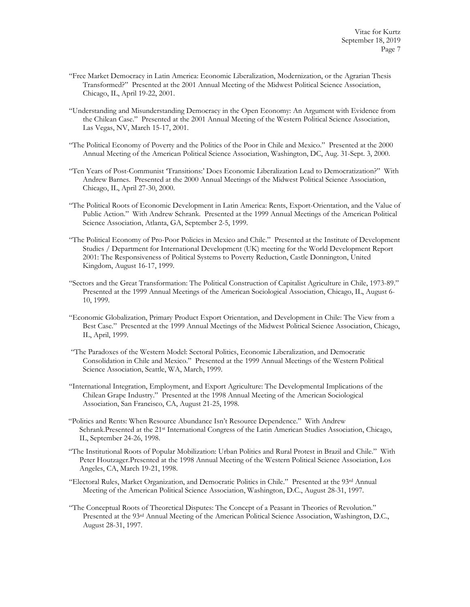- "Free Market Democracy in Latin America: Economic Liberalization, Modernization, or the Agrarian Thesis Transformed?" Presented at the 2001 Annual Meeting of the Midwest Political Science Association, Chicago, IL, April 19-22, 2001.
- "Understanding and Misunderstanding Democracy in the Open Economy: An Argument with Evidence from the Chilean Case." Presented at the 2001 Annual Meeting of the Western Political Science Association, Las Vegas, NV, March 15-17, 2001.
- "The Political Economy of Poverty and the Politics of the Poor in Chile and Mexico." Presented at the 2000 Annual Meeting of the American Political Science Association, Washington, DC, Aug. 31-Sept. 3, 2000.
- "Ten Years of Post-Communist 'Transitions:' Does Economic Liberalization Lead to Democratization?" With Andrew Barnes. Presented at the 2000 Annual Meetings of the Midwest Political Science Association, Chicago, IL, April 27-30, 2000.
- "The Political Roots of Economic Development in Latin America: Rents, Export-Orientation, and the Value of Public Action." With Andrew Schrank. Presented at the 1999 Annual Meetings of the American Political Science Association, Atlanta, GA, September 2-5, 1999.
- "The Political Economy of Pro-Poor Policies in Mexico and Chile." Presented at the Institute of Development Studies / Department for International Development (UK) meeting for the World Development Report 2001: The Responsiveness of Political Systems to Poverty Reduction, Castle Donnington, United Kingdom, August 16-17, 1999.
- "Sectors and the Great Transformation: The Political Construction of Capitalist Agriculture in Chile, 1973-89." Presented at the 1999 Annual Meetings of the American Sociological Association, Chicago, IL, August 6- 10, 1999.
- "Economic Globalization, Primary Product Export Orientation, and Development in Chile: The View from a Best Case." Presented at the 1999 Annual Meetings of the Midwest Political Science Association, Chicago, IL, April, 1999.
- "The Paradoxes of the Western Model: Sectoral Politics, Economic Liberalization, and Democratic Consolidation in Chile and Mexico." Presented at the 1999 Annual Meetings of the Western Political Science Association, Seattle, WA, March, 1999.
- "International Integration, Employment, and Export Agriculture: The Developmental Implications of the Chilean Grape Industry." Presented at the 1998 Annual Meeting of the American Sociological Association, San Francisco, CA, August 21-25, 1998.
- "Politics and Rents: When Resource Abundance Isn't Resource Dependence." With Andrew Schrank.Presented at the 21<sup>st</sup> International Congress of the Latin American Studies Association, Chicago, IL, September 24-26, 1998.
- "The Institutional Roots of Popular Mobilization: Urban Politics and Rural Protest in Brazil and Chile." With Peter Houtzager.Presented at the 1998 Annual Meeting of the Western Political Science Association, Los Angeles, CA, March 19-21, 1998.
- "Electoral Rules, Market Organization, and Democratic Politics in Chile." Presented at the 93rd Annual Meeting of the American Political Science Association, Washington, D.C., August 28-31, 1997.
- "The Conceptual Roots of Theoretical Disputes: The Concept of a Peasant in Theories of Revolution." Presented at the 93<sup>rd</sup> Annual Meeting of the American Political Science Association, Washington, D.C., August 28-31, 1997.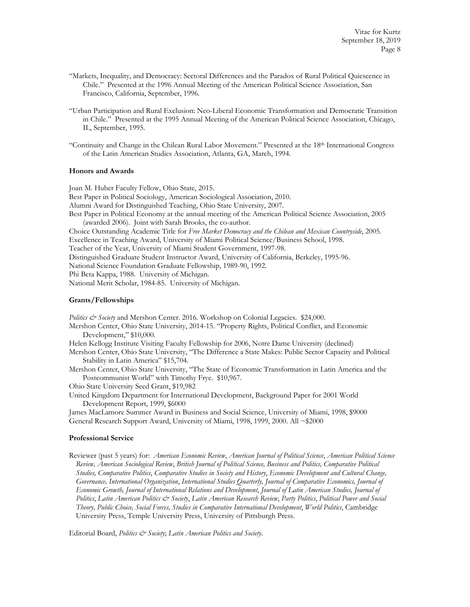- "Markets, Inequality, and Democracy: Sectoral Differences and the Paradox of Rural Political Quiescence in Chile." Presented at the 1996 Annual Meeting of the American Political Science Association, San Francisco, California, September, 1996.
- "Urban Participation and Rural Exclusion: Neo-Liberal Economic Transformation and Democratic Transition in Chile." Presented at the 1995 Annual Meeting of the American Political Science Association, Chicago, IL, September, 1995.
- "Continuity and Change in the Chilean Rural Labor Movement." Presented at the 18th International Congress of the Latin American Studies Association, Atlanta, GA, March, 1994.

## **Honors and Awards**

Joan M. Huber Faculty Fellow, Ohio State, 2015.

Best Paper in Political Sociology, American Sociological Association, 2010.

Alumni Award for Distinguished Teaching, Ohio State University, 2007.

Best Paper in Political Economy at the annual meeting of the American Political Science Association, 2005 (awarded 2006). Joint with Sarah Brooks, the co-author.

Choice Outstanding Academic Title for *Free Market Democracy and the Chilean and Mexican Countryside*, 2005.

Excellence in Teaching Award, University of Miami Political Science/Business School, 1998.

Teacher of the Year, University of Miami Student Government, 1997-98.

Distinguished Graduate Student Instructor Award, University of California, Berkeley, 1995-96.

National Science Foundation Graduate Fellowship, 1989-90, 1992.

Phi Beta Kappa, 1988. University of Michigan.

National Merit Scholar, 1984-85. University of Michigan.

# **Grants/Fellowships**

*Politics & Society* and Mershon Center. 2016. Workshop on Colonial Legacies. \$24,000.

Mershon Center, Ohio State University, 2014-15. "Property Rights, Political Conflict, and Economic Development," \$10,000.

Helen Kellogg Institute Visiting Faculty Fellowship for 2006, Notre Dame University (declined)

Mershon Center, Ohio State University, "The Difference a State Makes: Public Sector Capacity and Political Stability in Latin America" \$15,704.

Mershon Center, Ohio State University, "The State of Economic Transformation in Latin America and the Postcommunist World" with Timothy Frye. \$10,967.

Ohio State University Seed Grant, \$19,982

United Kingdom Department for International Development, Background Paper for 2001 World Development Report, 1999, \$6000

James MacLamore Summer Award in Business and Social Science, University of Miami, 1998, \$9000 General Research Support Award, University of Miami, 1998, 1999, 2000. All ~\$2000

#### **Professional Service**

Reviewer (past 5 years) for: *American Economic Review*, *American Journal of Political Science*, *American Political Science Review, American Sociological Review*, *British Journal of Political Science, Business and Politics, Comparative Political Studies, Comparative Politics*, *Comparative Studies in Society and History*, *Economic Development and Cultural Change, Governance, International Organization*, *International Studies Quarterly, Journal of Comparative Economics, Journal of Economic Growth, Journal of International Relations and Development*, *Journal of Latin American Studies, Journal of Politics*, *Latin American Politics & Society*, *Latin American Research Review*, *Party Politics*, *Political Power and Social Theory, Public Choice, Social Forces, Studies in Comparative International Development*, *World Politics*, Cambridge University Press, Temple University Press, University of Pittsburgh Press.

Editorial Board, *Politics & Society*; *Latin American Politics and Society*.